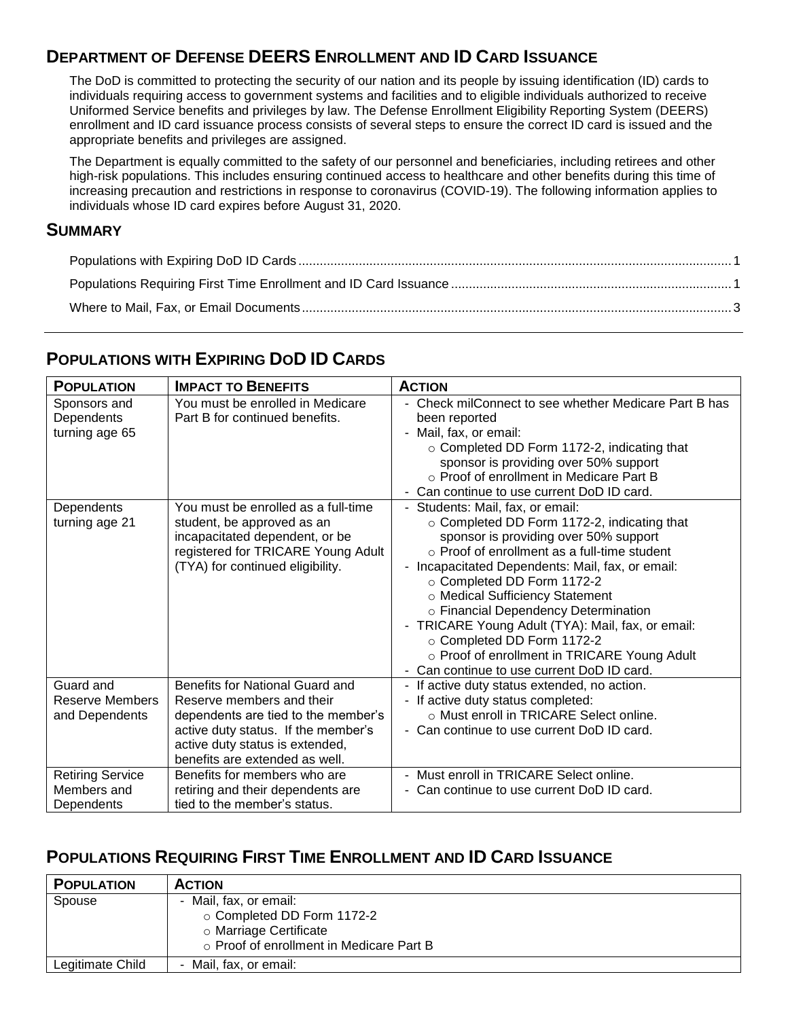## **DEPARTMENT OF DEFENSE DEERS ENROLLMENT AND ID CARD ISSUANCE**

The DoD is committed to protecting the security of our nation and its people by issuing identification (ID) cards to individuals requiring access to government systems and facilities and to eligible individuals authorized to receive Uniformed Service benefits and privileges by law. The Defense Enrollment Eligibility Reporting System (DEERS) enrollment and ID card issuance process consists of several steps to ensure the correct ID card is issued and the appropriate benefits and privileges are assigned.

The Department is equally committed to the safety of our personnel and beneficiaries, including retirees and other high-risk populations. This includes ensuring continued access to healthcare and other benefits during this time of increasing precaution and restrictions in response to coronavirus (COVID-19). The following information applies to individuals whose ID card expires before August 31, 2020.

#### **SUMMARY**

### <span id="page-0-0"></span>**POPULATIONS WITH EXPIRING DOD ID CARDS**

| <b>POPULATION</b>                                     | <b>IMPACT TO BENEFITS</b>                                                                                                                                                                                       | <b>ACTION</b>                                                                                                                                                                                                                                                                                                                                                                                                                                                                                                                |
|-------------------------------------------------------|-----------------------------------------------------------------------------------------------------------------------------------------------------------------------------------------------------------------|------------------------------------------------------------------------------------------------------------------------------------------------------------------------------------------------------------------------------------------------------------------------------------------------------------------------------------------------------------------------------------------------------------------------------------------------------------------------------------------------------------------------------|
| Sponsors and<br>Dependents<br>turning age 65          | You must be enrolled in Medicare<br>Part B for continued benefits.                                                                                                                                              | - Check milConnect to see whether Medicare Part B has<br>been reported<br>- Mail, fax, or email:<br>o Completed DD Form 1172-2, indicating that<br>sponsor is providing over 50% support<br>o Proof of enrollment in Medicare Part B<br>Can continue to use current DoD ID card.                                                                                                                                                                                                                                             |
| Dependents<br>turning age 21                          | You must be enrolled as a full-time<br>student, be approved as an<br>incapacitated dependent, or be<br>registered for TRICARE Young Adult<br>(TYA) for continued eligibility.                                   | - Students: Mail, fax, or email:<br>○ Completed DD Form 1172-2, indicating that<br>sponsor is providing over 50% support<br>$\circ$ Proof of enrollment as a full-time student<br>- Incapacitated Dependents: Mail, fax, or email:<br>○ Completed DD Form 1172-2<br>o Medical Sufficiency Statement<br>o Financial Dependency Determination<br>- TRICARE Young Adult (TYA): Mail, fax, or email:<br>○ Completed DD Form 1172-2<br>o Proof of enrollment in TRICARE Young Adult<br>- Can continue to use current DoD ID card. |
| Guard and<br><b>Reserve Members</b><br>and Dependents | Benefits for National Guard and<br>Reserve members and their<br>dependents are tied to the member's<br>active duty status. If the member's<br>active duty status is extended,<br>benefits are extended as well. | - If active duty status extended, no action.<br>- If active duty status completed:<br>○ Must enroll in TRICARE Select online.<br>- Can continue to use current DoD ID card.                                                                                                                                                                                                                                                                                                                                                  |
| <b>Retiring Service</b><br>Members and<br>Dependents  | Benefits for members who are<br>retiring and their dependents are<br>tied to the member's status.                                                                                                               | - Must enroll in TRICARE Select online.<br>- Can continue to use current DoD ID card.                                                                                                                                                                                                                                                                                                                                                                                                                                        |

### <span id="page-0-1"></span>**POPULATIONS REQUIRING FIRST TIME ENROLLMENT AND ID CARD ISSUANCE**

| <b>POPULATION</b> | <b>ACTION</b>                            |
|-------------------|------------------------------------------|
| Spouse            | - Mail, fax, or email:                   |
|                   | ○ Completed DD Form 1172-2               |
|                   | ○ Marriage Certificate                   |
|                   | ○ Proof of enrollment in Medicare Part B |
| Legitimate Child  | - Mail, fax, or email:                   |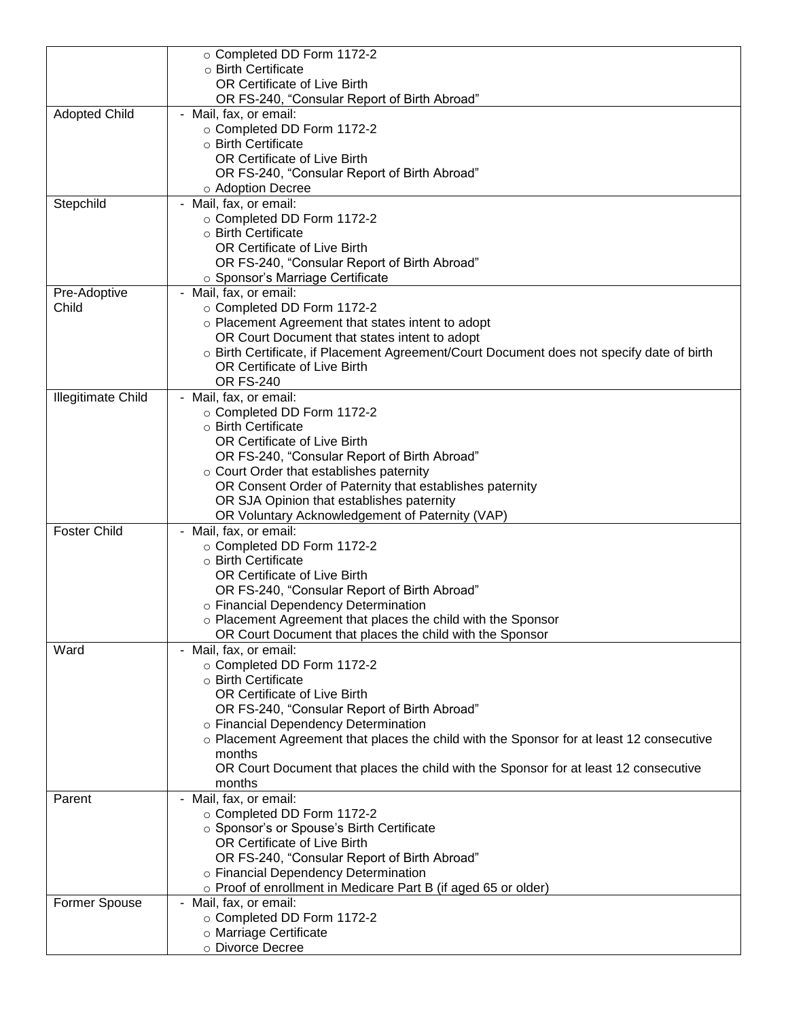|                           | ○ Completed DD Form 1172-2                                                                                                |
|---------------------------|---------------------------------------------------------------------------------------------------------------------------|
|                           | ○ Birth Certificate                                                                                                       |
|                           | OR Certificate of Live Birth                                                                                              |
|                           | OR FS-240, "Consular Report of Birth Abroad"                                                                              |
| <b>Adopted Child</b>      | - Mail, fax, or email:<br>○ Completed DD Form 1172-2                                                                      |
|                           | o Birth Certificate                                                                                                       |
|                           | OR Certificate of Live Birth                                                                                              |
|                           | OR FS-240, "Consular Report of Birth Abroad"                                                                              |
|                           | o Adoption Decree                                                                                                         |
| Stepchild                 | - Mail, fax, or email:                                                                                                    |
|                           | ○ Completed DD Form 1172-2                                                                                                |
|                           | o Birth Certificate                                                                                                       |
|                           | OR Certificate of Live Birth                                                                                              |
|                           | OR FS-240, "Consular Report of Birth Abroad"                                                                              |
|                           | ○ Sponsor's Marriage Certificate                                                                                          |
| Pre-Adoptive              | - Mail, fax, or email:                                                                                                    |
| Child                     | ○ Completed DD Form 1172-2                                                                                                |
|                           | o Placement Agreement that states intent to adopt                                                                         |
|                           | OR Court Document that states intent to adopt                                                                             |
|                           | o Birth Certificate, if Placement Agreement/Court Document does not specify date of birth<br>OR Certificate of Live Birth |
|                           | <b>OR FS-240</b>                                                                                                          |
| <b>Illegitimate Child</b> | - Mail, fax, or email:                                                                                                    |
|                           | o Completed DD Form 1172-2                                                                                                |
|                           | ○ Birth Certificate                                                                                                       |
|                           | OR Certificate of Live Birth                                                                                              |
|                           | OR FS-240, "Consular Report of Birth Abroad"                                                                              |
|                           | $\circ$ Court Order that establishes paternity                                                                            |
|                           | OR Consent Order of Paternity that establishes paternity                                                                  |
|                           | OR SJA Opinion that establishes paternity                                                                                 |
|                           | OR Voluntary Acknowledgement of Paternity (VAP)                                                                           |
| <b>Foster Child</b>       | - Mail, fax, or email:                                                                                                    |
|                           | ○ Completed DD Form 1172-2<br>o Birth Certificate                                                                         |
|                           | OR Certificate of Live Birth                                                                                              |
|                           | OR FS-240, "Consular Report of Birth Abroad"                                                                              |
|                           | o Financial Dependency Determination                                                                                      |
|                           | ○ Placement Agreement that places the child with the Sponsor                                                              |
|                           | OR Court Document that places the child with the Sponsor                                                                  |
| Ward                      | - Mail, fax, or email:                                                                                                    |
|                           | ○ Completed DD Form 1172-2                                                                                                |
|                           | o Birth Certificate                                                                                                       |
|                           | OR Certificate of Live Birth                                                                                              |
|                           | OR FS-240, "Consular Report of Birth Abroad"                                                                              |
|                           | o Financial Dependency Determination                                                                                      |
|                           | o Placement Agreement that places the child with the Sponsor for at least 12 consecutive                                  |
|                           | months<br>OR Court Document that places the child with the Sponsor for at least 12 consecutive                            |
|                           | months                                                                                                                    |
| Parent                    | - Mail, fax, or email:                                                                                                    |
|                           | ○ Completed DD Form 1172-2                                                                                                |
|                           | o Sponsor's or Spouse's Birth Certificate                                                                                 |
|                           | OR Certificate of Live Birth                                                                                              |
|                           | OR FS-240, "Consular Report of Birth Abroad"                                                                              |
|                           | o Financial Dependency Determination                                                                                      |
|                           | o Proof of enrollment in Medicare Part B (if aged 65 or older)                                                            |
| Former Spouse             | - Mail, fax, or email:                                                                                                    |
|                           | ○ Completed DD Form 1172-2                                                                                                |
|                           | o Marriage Certificate                                                                                                    |
|                           | o Divorce Decree                                                                                                          |